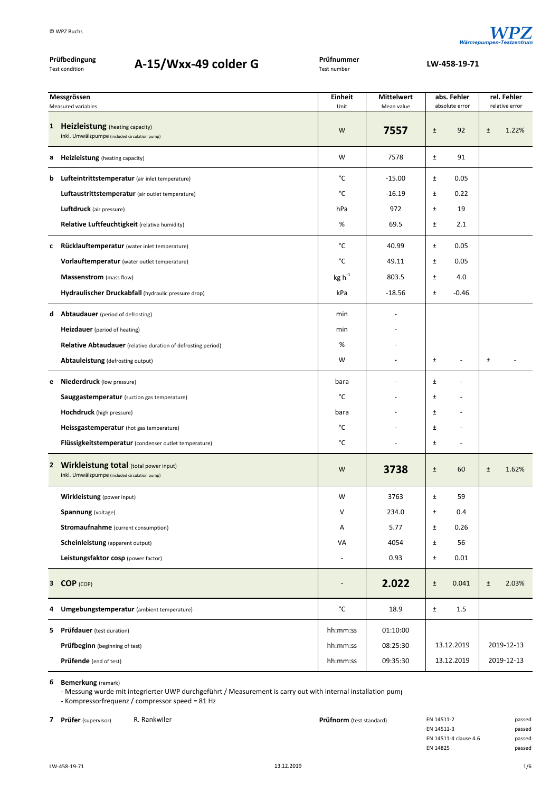

|   | Prüfbedingung<br>A-15/Wxx-49 colder G<br>Test condition                                   | Prüfnummer<br>Test number | LW-458-19-71      |                |                            |                |            |
|---|-------------------------------------------------------------------------------------------|---------------------------|-------------------|----------------|----------------------------|----------------|------------|
|   | Messgrössen                                                                               | <b>Einheit</b>            | <b>Mittelwert</b> |                | rel. Fehler<br>abs. Fehler |                |            |
|   | Measured variables                                                                        | Unit                      | Mean value        | absolute error |                            | relative error |            |
| 1 | <b>Heizleistung</b> (heating capacity)<br>inkl. Umwälzpumpe (included circulation pump)   | W                         | 7557              | $\pm$          | 92                         | $\pm$          | 1.22%      |
| а | <b>Heizleistung</b> (heating capacity)                                                    | W                         | 7578              | $\pm$          | 91                         |                |            |
| b | Lufteintrittstemperatur (air inlet temperature)                                           | °C                        | $-15.00$          | Ŧ              | 0.05                       |                |            |
|   | Luftaustrittstemperatur (air outlet temperature)                                          | °C                        | $-16.19$          | $\pm$          | 0.22                       |                |            |
|   | <b>Luftdruck</b> (air pressure)                                                           | hPa                       | 972               | $\pm$          | 19                         |                |            |
|   | Relative Luftfeuchtigkeit (relative humidity)                                             | %                         | 69.5              | $\pm$          | 2.1                        |                |            |
| c | Rücklauftemperatur (water inlet temperature)                                              | °C                        | 40.99             | $\pm$          | 0.05                       |                |            |
|   | Vorlauftemperatur (water outlet temperature)                                              | °C                        | 49.11             | $\pm$          | 0.05                       |                |            |
|   | Massenstrom (mass flow)                                                                   | $\text{kg h}^{\text{-1}}$ | 803.5             | Ŧ              | 4.0                        |                |            |
|   | Hydraulischer Druckabfall (hydraulic pressure drop)                                       | kPa                       | $-18.56$          | $\pm$          | $-0.46$                    |                |            |
| d | <b>Abtaudauer</b> (period of defrosting)                                                  | min                       |                   |                |                            |                |            |
|   | Heizdauer (period of heating)                                                             | min                       |                   |                |                            |                |            |
|   | <b>Relative Abtaudauer</b> (relative duration of defrosting period)                       | %                         |                   |                |                            |                |            |
|   | Abtauleistung (defrosting output)                                                         | W                         |                   | Ŧ              | $\overline{a}$             | $\pm$          |            |
| e | <b>Niederdruck</b> (low pressure)                                                         | bara                      |                   | Ŧ              |                            |                |            |
|   | <b>Sauggastemperatur</b> (suction gas temperature)                                        | °C                        |                   | $\pm$          |                            |                |            |
|   | <b>Hochdruck</b> (high pressure)                                                          | bara                      |                   | $\pm$          |                            |                |            |
|   | Heissgastemperatur (hot gas temperature)                                                  | °C                        |                   | $\pm$          |                            |                |            |
|   | Flüssigkeitstemperatur (condenser outlet temperature)                                     | °C                        |                   | $\pm$          | $\overline{\phantom{a}}$   |                |            |
|   | 2 Wirkleistung total (total power input)<br>inkl. Umwälzpumpe (included circulation pump) | W                         | 3738              | $\pm$          | 60                         | Ŧ              | 1.62%      |
|   | Wirkleistung (power input)                                                                | W                         | 3763              | $\pm$          | 59                         |                |            |
|   | Spannung (voltage)                                                                        | V                         | 234.0             | Ŧ              | 0.4                        |                |            |
|   | <b>Stromaufnahme</b> (current consumption)                                                | Α                         | 5.77              | $\pm$          | 0.26                       |                |            |
|   | <b>Scheinleistung</b> (apparent output)                                                   | VA                        | 4054              | $\pm$          | 56                         |                |            |
|   | Leistungsfaktor cosp (power factor)                                                       |                           | 0.93              | $\pm$          | 0.01                       |                |            |
|   | 3 COP (COP)                                                                               | $\overline{a}$            | 2.022             | $\pm$          | 0.041                      | $\pm$          | 2.03%      |
| 4 | Umgebungstemperatur (ambient temperature)                                                 | °C                        | 18.9              | $\pm$          | 1.5                        |                |            |
|   | <b>5</b> Prüfdauer (test duration)                                                        | hh:mm:ss                  | 01:10:00          |                |                            |                |            |
|   | <b>Prüfbeginn</b> (beginning of test)                                                     | hh:mm:ss                  | 08:25:30          |                | 13.12.2019                 |                | 2019-12-13 |
|   | Prüfende (end of test)                                                                    | hh:mm:ss                  | 09:35:30          |                | 13.12.2019                 |                | 2019-12-13 |

**6 Bemerkung** (remark)

‐ Messung wurde mit integrierter UWP durchgeführt / Measurement is carry out with internal installation pump ‐ Kompressorfrequenz / compressor speed = 81 Hz

**7 Prüfer** (supervisor) R. Rankwiler **Prüfnorm** (test standard) EN 14511‐2 passed en and passed passed **Prüfnorm** (test standard) EN 14511‐3 EN 14511-3 EN 14511‐4 clause 4.6 passed EN 14825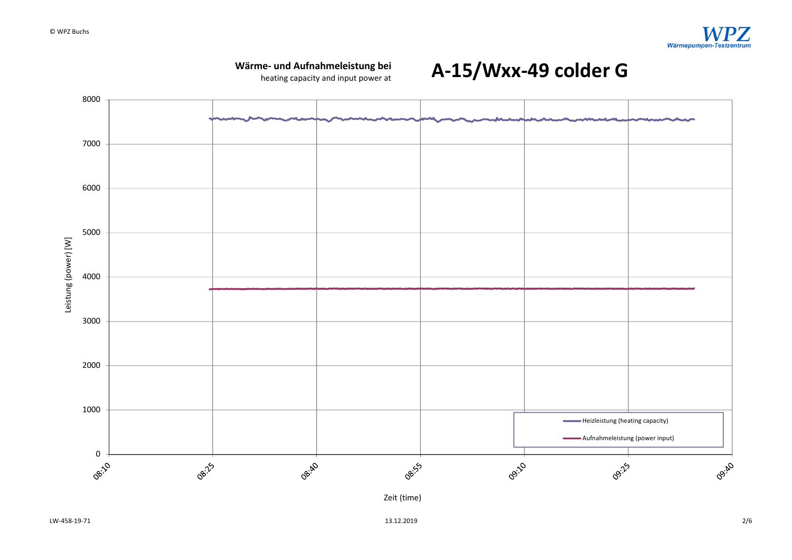

heating capacity and input power at



**A‐15/Wxx‐49 colder G**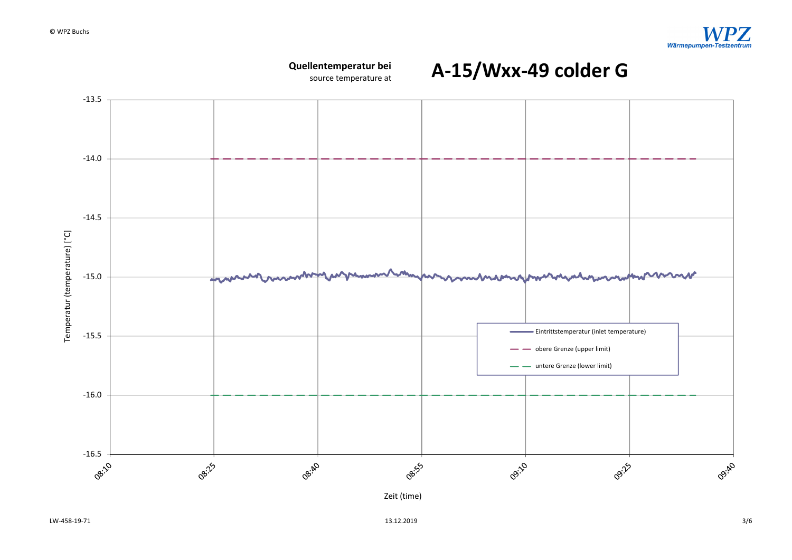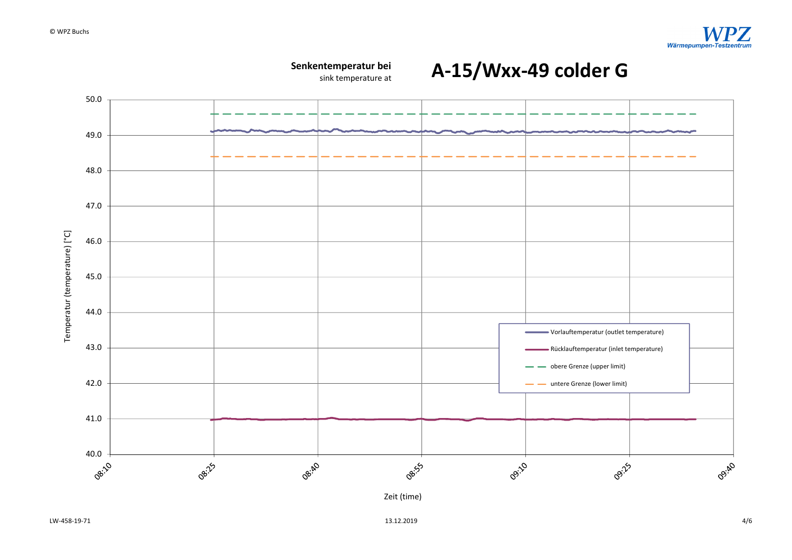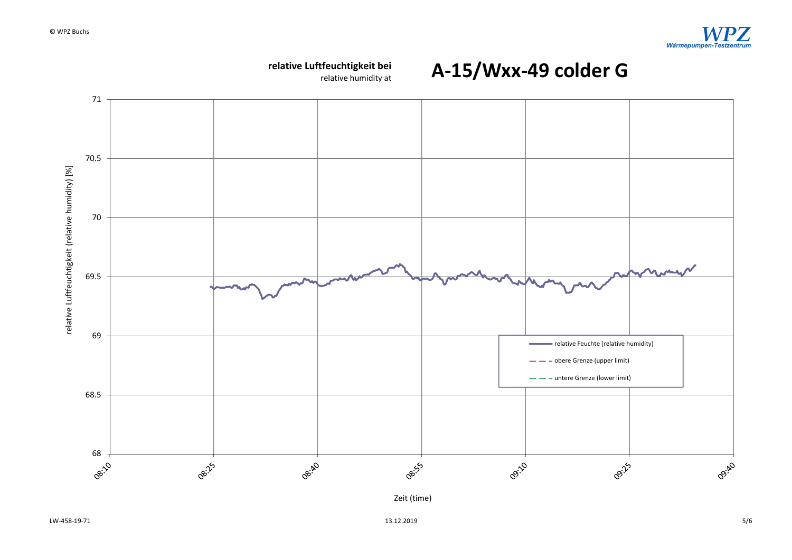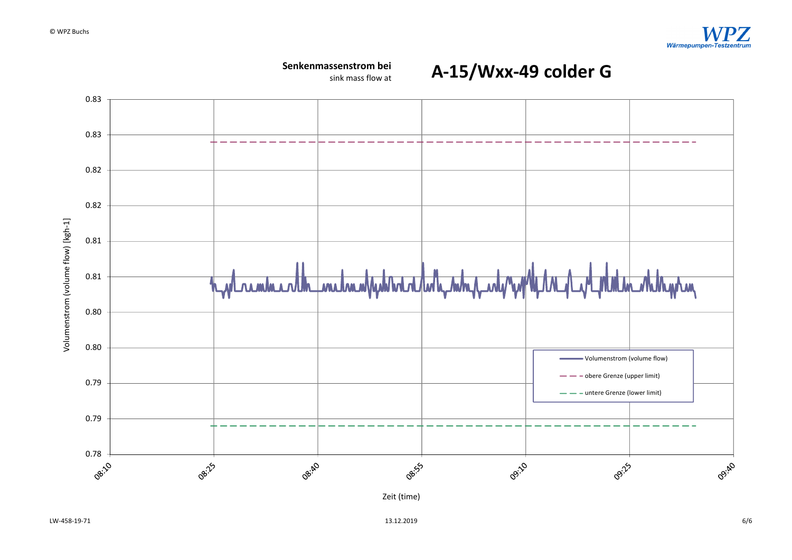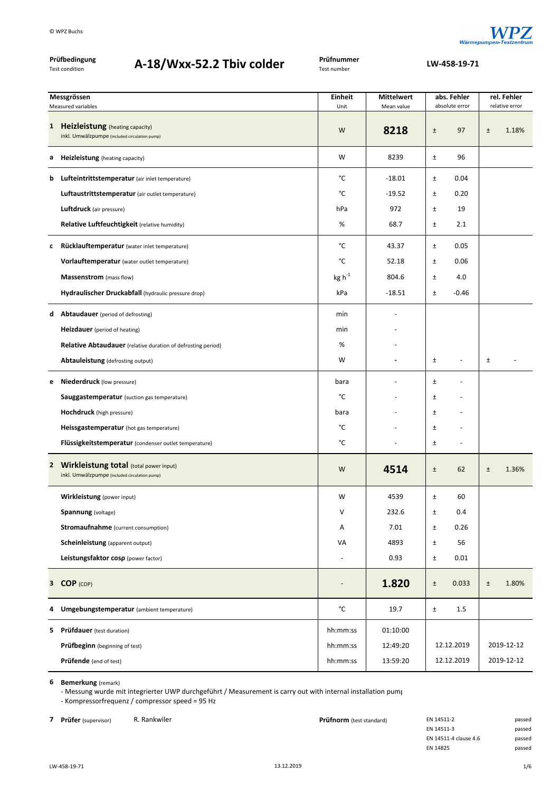

**A‐18/Wxx‐52.2 Tbiv colder LW‐458‐19‐<sup>71</sup>**

| Prüfbedingung<br>Test condition | A-18/Wxx-52.2 Tbiv colder | Prüfnummer<br>Test number |
|---------------------------------|---------------------------|---------------------------|
|                                 |                           |                           |

| Messgrössen |                                                                                           | Einheit                   | abs. Fehler<br><b>Mittelwert</b> |       | rel. Fehler              |       |                |
|-------------|-------------------------------------------------------------------------------------------|---------------------------|----------------------------------|-------|--------------------------|-------|----------------|
|             | Measured variables                                                                        | Unit                      | Mean value                       |       | absolute error           |       | relative error |
|             | 1 Heizleistung (heating capacity)<br>inkl. Umwälzpumpe (included circulation pump)        | W                         | 8218                             | $\pm$ | 97                       | ±     | 1.18%          |
| а           | <b>Heizleistung</b> (heating capacity)                                                    | W                         | 8239                             | ±     | 96                       |       |                |
| b           | Lufteintrittstemperatur (air inlet temperature)                                           | °C                        | $-18.01$                         | Ŧ     | 0.04                     |       |                |
|             | Luftaustrittstemperatur (air outlet temperature)                                          | °C                        | $-19.52$                         | $\pm$ | 0.20                     |       |                |
|             | Luftdruck (air pressure)                                                                  | hPa                       | 972                              | $\pm$ | 19                       |       |                |
|             | Relative Luftfeuchtigkeit (relative humidity)                                             | %                         | 68.7                             | $\pm$ | 2.1                      |       |                |
| c           | Rücklauftemperatur (water inlet temperature)                                              | °C                        | 43.37                            | ±     | 0.05                     |       |                |
|             | Vorlauftemperatur (water outlet temperature)                                              | °C                        | 52.18                            | $\pm$ | 0.06                     |       |                |
|             | Massenstrom (mass flow)                                                                   | $\text{kg h}^{\text{-1}}$ | 804.6                            | Ŧ     | 4.0                      |       |                |
|             | Hydraulischer Druckabfall (hydraulic pressure drop)                                       | kPa                       | $-18.51$                         | $\pm$ | $-0.46$                  |       |                |
| d           | <b>Abtaudauer</b> (period of defrosting)                                                  | min                       |                                  |       |                          |       |                |
|             | <b>Heizdauer</b> (period of heating)                                                      | min                       |                                  |       |                          |       |                |
|             | <b>Relative Abtaudauer</b> (relative duration of defrosting period)                       | %                         |                                  |       |                          |       |                |
|             | Abtauleistung (defrosting output)                                                         | W                         |                                  | ±     | $\overline{\phantom{a}}$ | $\pm$ |                |
| е           | <b>Niederdruck</b> (low pressure)                                                         | bara                      |                                  | Ŧ     |                          |       |                |
|             | <b>Sauggastemperatur</b> (suction gas temperature)                                        | °C                        |                                  | ±     |                          |       |                |
|             | <b>Hochdruck</b> (high pressure)                                                          | bara                      |                                  | Ŧ     |                          |       |                |
|             | Heissgastemperatur (hot gas temperature)                                                  | °C                        |                                  | Ŧ     |                          |       |                |
|             | Flüssigkeitstemperatur (condenser outlet temperature)                                     | °C                        |                                  | $\pm$ | $\overline{\phantom{a}}$ |       |                |
|             | 2 Wirkleistung total (total power input)<br>inkl. Umwälzpumpe (included circulation pump) | W                         | 4514                             | $\pm$ | 62                       | Ŧ.    | 1.36%          |
|             | Wirkleistung (power input)                                                                | W                         | 4539                             | Ŧ     | 60                       |       |                |
|             | Spannung (voltage)                                                                        | $\vee$                    | 232.6                            | Ŧ     | 0.4                      |       |                |
|             | <b>Stromaufnahme</b> (current consumption)                                                | Α                         | 7.01                             | ±     | 0.26                     |       |                |
|             | Scheinleistung (apparent output)                                                          | VA                        | 4893                             | $\pm$ | 56                       |       |                |
|             | Leistungsfaktor cosp (power factor)                                                       | $\overline{\phantom{a}}$  | 0.93                             | $\pm$ | 0.01                     |       |                |
|             | 3 COP (COP)                                                                               |                           | 1.820                            | $\pm$ | 0.033                    | $\pm$ | 1.80%          |
| 4           | Umgebungstemperatur (ambient temperature)                                                 | $^{\circ}{\rm C}$         | 19.7                             | $\pm$ | 1.5                      |       |                |
| 5           | Prüfdauer (test duration)                                                                 | hh:mm:ss                  | 01:10:00                         |       |                          |       |                |
|             | Prüfbeginn (beginning of test)                                                            | hh:mm:ss                  | 12:49:20                         |       | 12.12.2019               |       | 2019-12-12     |
|             | Prüfende (end of test)                                                                    | hh:mm:ss                  | 13:59:20                         |       | 12.12.2019               |       | 2019-12-12     |

**6 Bemerkung** (remark)

‐ Messung wurde mit integrierter UWP durchgeführt / Measurement is carry out with internal installation pump ‐ Kompressorfrequenz / compressor speed = 95 Hz

**7 Prüfer** (supervisor) R. Rankwiler **Prüfnorm** (test standard) EN 14511-2 passed

| EN 14511-2            | passec |
|-----------------------|--------|
| EN 14511-3            | passec |
| EN 14511-4 clause 4.6 | passec |
| EN 14825              | passec |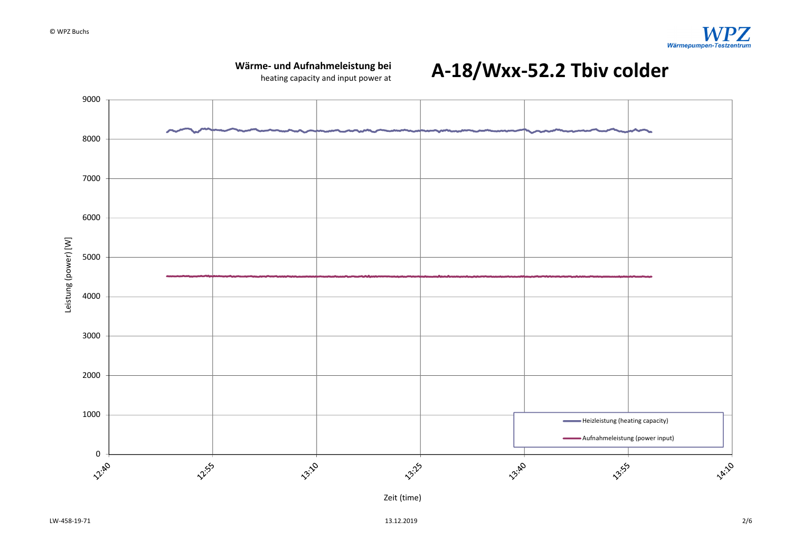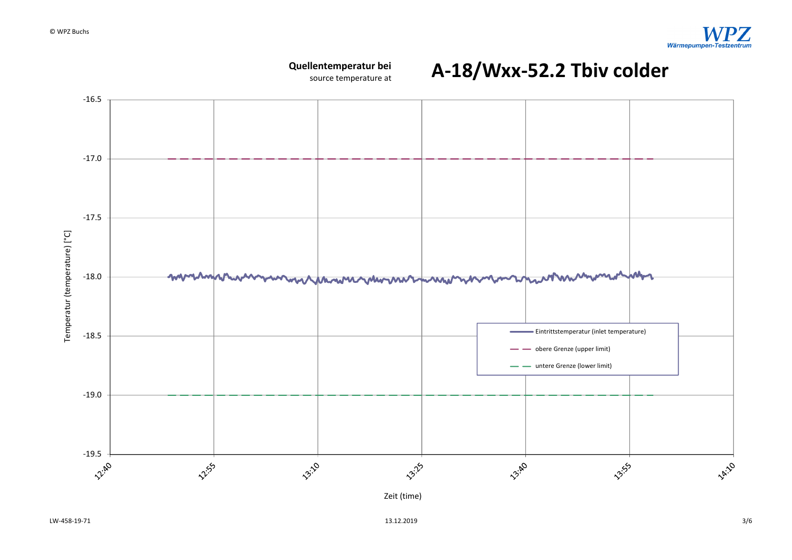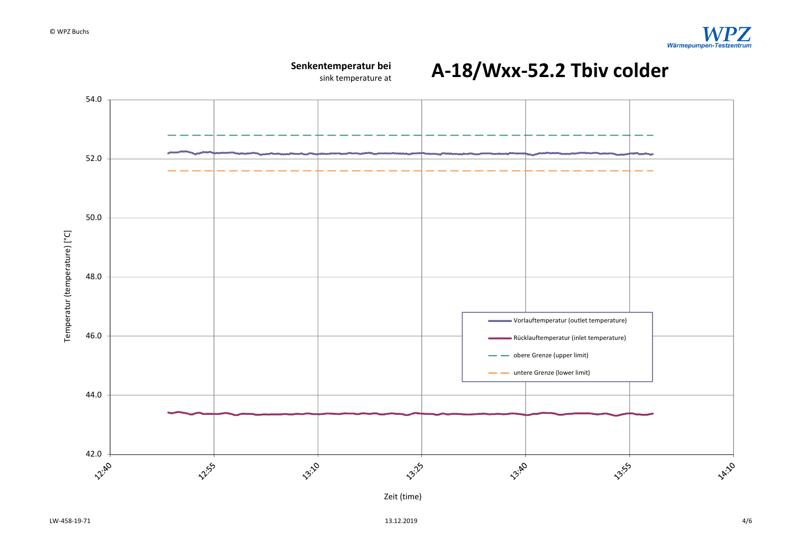

Zeit (time)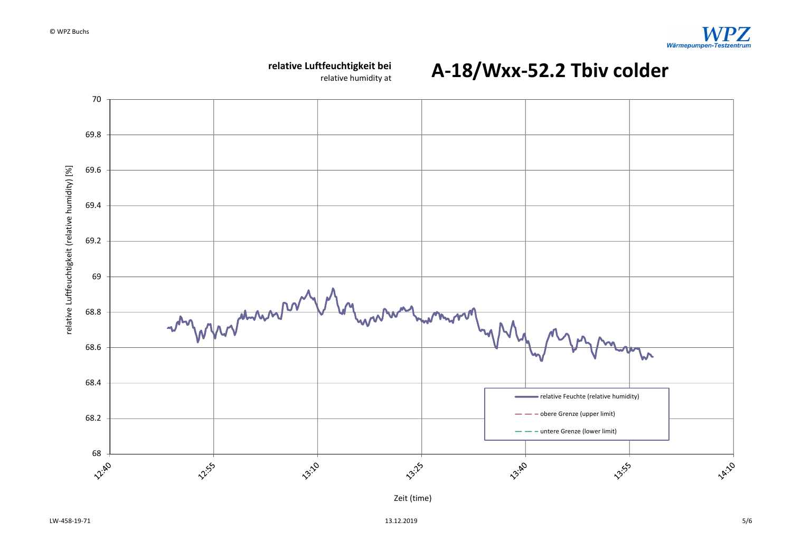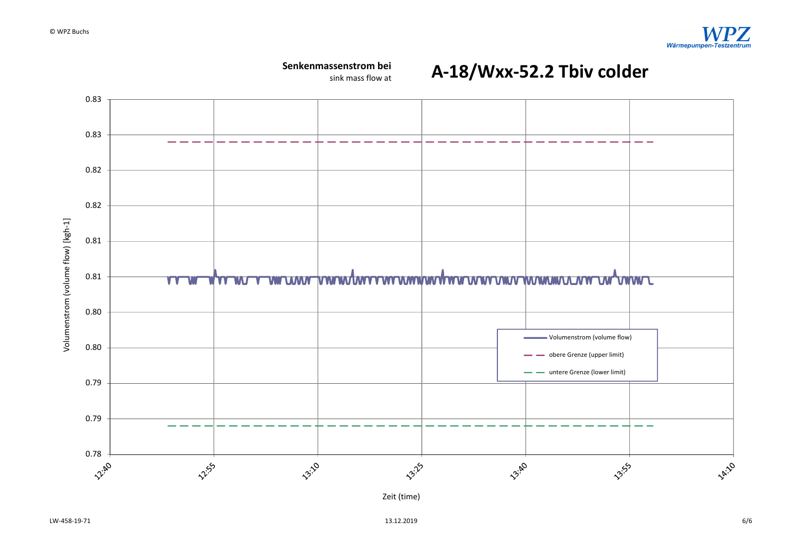

 $13.12.2019$  6/6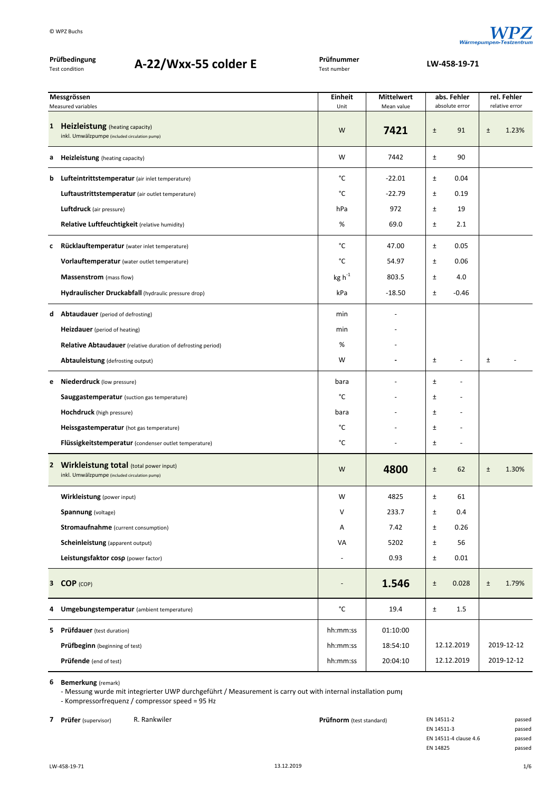

| Prüfbedingung<br>A-22/Wxx-55 colder E<br><b>Test condition</b> |                                                                                           | Prüfnummer<br>Test number |                                  | LW-458-19-71                      |                |  |  |
|----------------------------------------------------------------|-------------------------------------------------------------------------------------------|---------------------------|----------------------------------|-----------------------------------|----------------|--|--|
|                                                                | Messgrössen                                                                               | <b>Einheit</b>            | abs. Fehler<br><b>Mittelwert</b> |                                   | rel. Fehler    |  |  |
|                                                                | Measured variables                                                                        | Unit                      | Mean value                       | absolute error                    | relative error |  |  |
| $\mathbf{1}$                                                   | Heizleistung (heating capacity)<br>inkl. Umwälzpumpe (included circulation pump)          | W                         | 7421                             | 91<br>$\pm$                       | $\pm$<br>1.23% |  |  |
| a                                                              | <b>Heizleistung</b> (heating capacity)                                                    | W                         | 7442                             | 90<br>$\pm$                       |                |  |  |
|                                                                | <b>b</b> Lufteintrittstemperatur (air inlet temperature)                                  | °C                        | $-22.01$                         | 0.04<br>Ŧ                         |                |  |  |
|                                                                | Luftaustrittstemperatur (air outlet temperature)                                          | °C                        | $-22.79$                         | $\pm$<br>0.19                     |                |  |  |
|                                                                | <b>Luftdruck</b> (air pressure)                                                           | hPa                       | 972                              | $\pm$<br>19                       |                |  |  |
|                                                                | Relative Luftfeuchtigkeit (relative humidity)                                             | %                         | 69.0                             | 2.1<br>Ŧ                          |                |  |  |
| c                                                              | Rücklauftemperatur (water inlet temperature)                                              | °C                        | 47.00                            | 0.05<br>$\pm$                     |                |  |  |
|                                                                | Vorlauftemperatur (water outlet temperature)                                              | °C                        | 54.97                            | 0.06<br>Ŧ                         |                |  |  |
|                                                                | Massenstrom (mass flow)                                                                   | $kg h^{-1}$               | 803.5                            | 4.0<br>Ŧ                          |                |  |  |
|                                                                | Hydraulischer Druckabfall (hydraulic pressure drop)                                       | kPa                       | $-18.50$                         | Ŧ<br>$-0.46$                      |                |  |  |
| d                                                              | <b>Abtaudauer</b> (period of defrosting)                                                  | min                       |                                  |                                   |                |  |  |
|                                                                | <b>Heizdauer</b> (period of heating)                                                      | min                       |                                  |                                   |                |  |  |
|                                                                | <b>Relative Abtaudauer</b> (relative duration of defrosting period)                       | %                         |                                  |                                   |                |  |  |
|                                                                | Abtauleistung (defrosting output)                                                         | W                         |                                  | $\pm$<br>$\overline{\phantom{a}}$ | $\pm$          |  |  |
| e                                                              | <b>Niederdruck</b> (low pressure)                                                         | bara                      |                                  | Ŧ                                 |                |  |  |
|                                                                | <b>Sauggastemperatur</b> (suction gas temperature)                                        | °C                        |                                  | $\pm$                             |                |  |  |
|                                                                | <b>Hochdruck</b> (high pressure)                                                          | bara                      |                                  | $\pm$                             |                |  |  |
|                                                                | Heissgastemperatur (hot gas temperature)                                                  | °C                        |                                  | $\pm$                             |                |  |  |
|                                                                | Flüssigkeitstemperatur (condenser outlet temperature)                                     | °C                        |                                  | Ŧ<br>$\overline{\phantom{a}}$     |                |  |  |
|                                                                | 2 Wirkleistung total (total power input)<br>inkl. Umwälzpumpe (included circulation pump) | W                         | 4800                             | 62<br>Ŧ                           | 1.30%<br>Ŧ     |  |  |
|                                                                | Wirkleistung (power input)                                                                | W                         | 4825                             | $\pm$<br>61                       |                |  |  |
|                                                                | Spannung (voltage)                                                                        | V                         | 233.7                            | 0.4<br>±                          |                |  |  |
|                                                                | <b>Stromaufnahme</b> (current consumption)                                                | Α                         | 7.42                             | $\pm$<br>0.26                     |                |  |  |
|                                                                | <b>Scheinleistung</b> (apparent output)                                                   | VA                        | 5202                             | 56<br>±                           |                |  |  |
|                                                                | Leistungsfaktor cosp (power factor)                                                       |                           | 0.93                             | $\pm$<br>0.01                     |                |  |  |
|                                                                | 3 COP (COP)                                                                               |                           | 1.546                            | 0.028<br>$\pm$                    | 1.79%<br>$\pm$ |  |  |
| 4                                                              | Umgebungstemperatur (ambient temperature)                                                 | °C                        | 19.4                             | 1.5<br>$\pm$                      |                |  |  |
|                                                                | <b>5</b> Prüfdauer (test duration)                                                        | hh:mm:ss                  | 01:10:00                         |                                   |                |  |  |
|                                                                | <b>Prüfbeginn</b> (beginning of test)                                                     | hh:mm:ss                  | 18:54:10                         | 12.12.2019                        | 2019-12-12     |  |  |
|                                                                | Prüfende (end of test)                                                                    | hh:mm:ss                  | 20:04:10                         | 12.12.2019                        | 2019-12-12     |  |  |

**6 Bemerkung** (remark)

‐ Messung wurde mit integrierter UWP durchgeführt / Measurement is carry out with internal installation pump ‐ Kompressorfrequenz / compressor speed = 95 Hz

**7 Prüfer** (supervisor) R. Rankwiler **Prüfnorm** (test standard) EN 14511-2 passed

| EN 14511-2            | passec |
|-----------------------|--------|
| EN 14511-3            | passec |
| EN 14511-4 clause 4.6 | passec |
| EN 14825              | passec |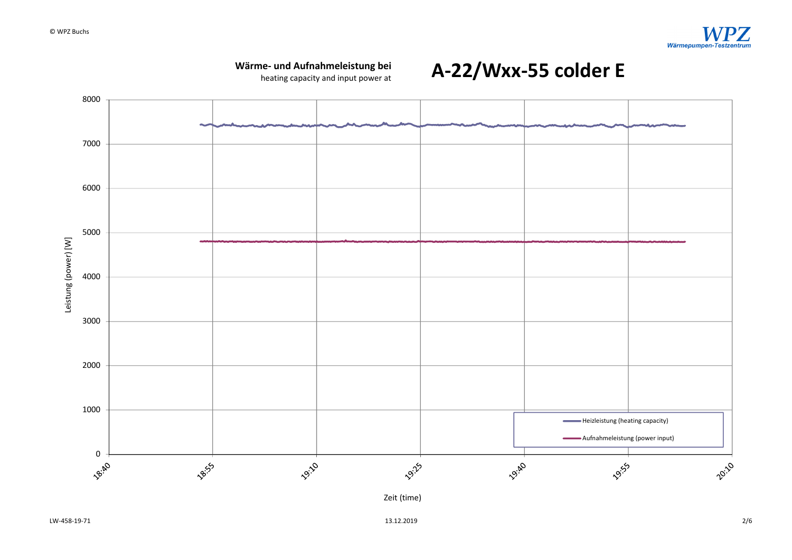

 $13.12.2019$   $2/6$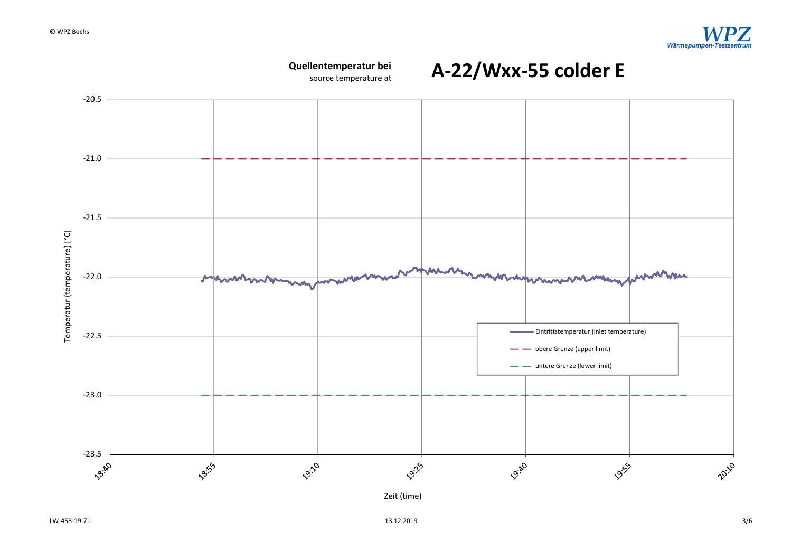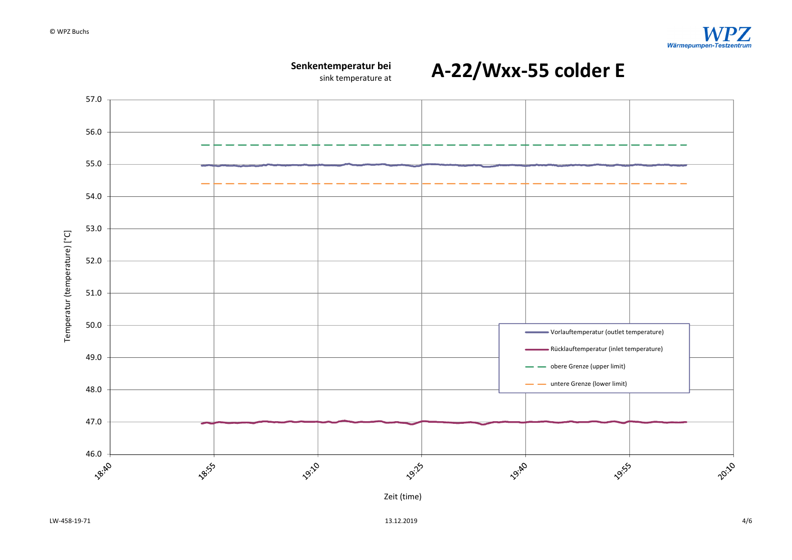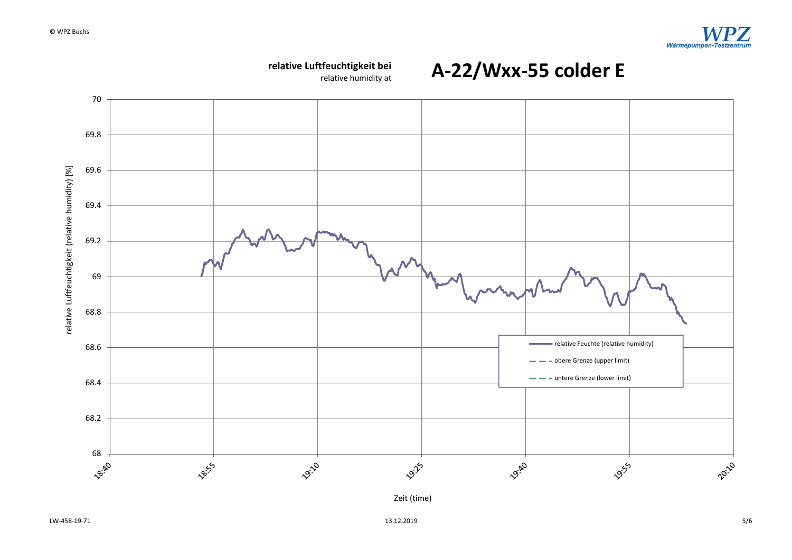